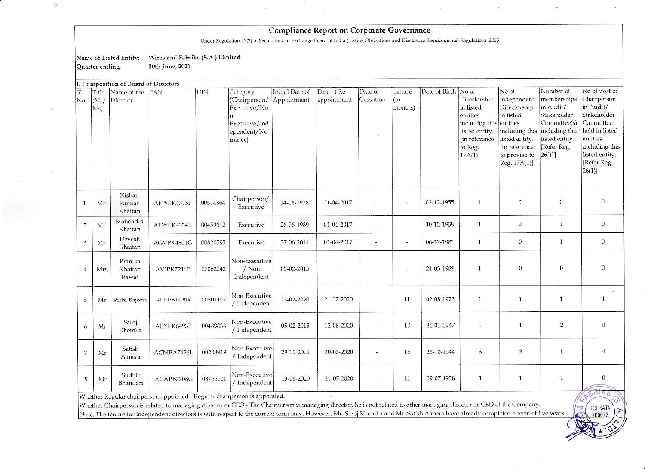## Compliance Report on Corporate Governance

Under Regulation 27(2) of Securities and Exchange Board of India (Listing Obligations and Disclosure Requirements) Regulations, 2015

Name of Listed Entity: Wires and Fabriks (S.A.) Limited

30th June, 2021 Quarter ending:

ĝ.

|                |                      | I. Composition of Board of Directors |            |          |                                                                                             |                                |                            |                      |                          |                     |                                                                                                                          |                                                                                                                                                        |                                                                                                                 |                                                                                                                                                                 |
|----------------|----------------------|--------------------------------------|------------|----------|---------------------------------------------------------------------------------------------|--------------------------------|----------------------------|----------------------|--------------------------|---------------------|--------------------------------------------------------------------------------------------------------------------------|--------------------------------------------------------------------------------------------------------------------------------------------------------|-----------------------------------------------------------------------------------------------------------------|-----------------------------------------------------------------------------------------------------------------------------------------------------------------|
| SL.<br>No.     | Title<br>(Mr)<br>Ms) | Name of the PAN<br>Director          |            | DIN      | Category<br>(Chairperson/<br>Executive/No<br>$n-$<br>Executive/ind<br>ependent/No<br>minee) | Initial Date of<br>Appointment | Date of Re-<br>appointment | Date of<br>Cessation | Tenure<br>(in<br>months) | Date of Birth No of | Directorship<br>in listed<br>entities<br>including this entities<br>listed entity.<br>[in reference<br>to Reg.<br>17A(1) | No of<br>Independent<br>Directorship<br>in listed<br>including this including this<br>listed entity.<br>[in reference<br>to proviso to<br>Reg. 17A(1)] | Number of<br>memberships<br>in Audit/<br>Stakeholder<br>Committee(s)<br>listed entity.<br>[Refer Reg.<br>26(1)] | No of post of<br>Chairperson<br>in Audit/<br>Stakeholder<br>Committee<br>held in listed<br>entities<br>including this<br>listed entity.<br>[Refer Reg.<br>26(1) |
| 1              | Mr                   | Kishan<br>Kumar<br>Khaitan           | AFWPK4315F | 00514864 | Chairperson/<br>Executive                                                                   | 14-08-1978                     | 01-04-2017                 |                      | i.                       | 02-12-1955          | $\mathbf{1}$                                                                                                             | $\mathbf{0}$                                                                                                                                           | $\Omega$                                                                                                        | $\overline{0}$                                                                                                                                                  |
| $\overline{2}$ | Mr                   | Mahendra<br>Khaitan                  | AFWPK4314E | 00459612 | Executive                                                                                   | 26-06-1989                     | 01-04-2017                 |                      | $\sim$                   | 10-12-1959          | $\mathbf{1}$                                                                                                             | $\bf{0}$                                                                                                                                               | $\mathbf{1}$                                                                                                    | $\mathbf 0$                                                                                                                                                     |
| 3              | Mr                   | Devesh<br>Khaitan                    | AGVPK4801G | 00820595 | Executive                                                                                   | 27-06-2014                     | 01-04-2017                 | ÷                    | $\overline{\phantom{a}}$ | 06-12-1981          | $\mathbf{1}$                                                                                                             | $\mathbf{0}$                                                                                                                                           | $\mathbf{1}$                                                                                                    | $\boldsymbol{0}$                                                                                                                                                |
| $\overline{4}$ | Mrs                  | Pranika<br>Khaitan<br>Rawat          | AVIPK7214P | 07062242 | Non-Executive<br>/ Non<br>Independent                                                       | 05-02-2015                     |                            |                      | $\overline{\phantom{a}}$ | 24-03-1989          | 1                                                                                                                        | $\mathbf{0}$                                                                                                                                           | $\mathbf{0}$                                                                                                    | $\mathbf{0}$                                                                                                                                                    |
| $\overline{5}$ | Mr                   | Rishi Bajoria                        | AEEPB1420R | 00501157 | Non-Executive<br>/ Independent                                                              | 13-02-2020                     | 21-07-2020                 |                      | 11                       | 02-08-1973          | $\mathbf{1}$                                                                                                             | $\mathbf{1}$                                                                                                                                           | $\mathbf{1}$                                                                                                    | $\mathbf{1}$                                                                                                                                                    |
| 6              | Mr                   | Saroj<br>Khemka                      | AEYPK6493F | 00489838 | Non-Executive<br>/ Independent                                                              | 05-02-2015                     | 12-08-2020                 | īΩ,                  | 10                       | 24-01-1947          | $\mathbf{1}$                                                                                                             | $\mathbf{1}$                                                                                                                                           | $\overline{2}$                                                                                                  | $\mathbf{0}$                                                                                                                                                    |
| $\overline{7}$ | Mr                   | Satish<br>Ajmera                     | ACMPA7426L | 00208919 | Non-Executive<br>/ Independent                                                              | 29-11-2001                     | 30-03-2020                 | ٠                    | 15                       | 26-10-1944          | $\overline{3}$                                                                                                           | 3                                                                                                                                                      | $\mathbf{1}$                                                                                                    | $\overline{4}$                                                                                                                                                  |
| $\,$ 8 $\,$    | Mr                   | Sudhir<br>Bhandari                   | ACAPB2708G | 08755101 | Non-Executive<br>/ Independent                                                              | 13-06-2020                     | 21-07-2020                 | ÷,                   | 11                       | 09-07-1958          | $\mathbf{1}$                                                                                                             | $\mathbf{1}$                                                                                                                                           | $\mathbf{1}$                                                                                                    | $\mathbf{0}$<br>MANIAS                                                                                                                                          |

Whether Regular chairperson appointed - Regular chairperson is appointed.

Whether Chairperson is related to managing director or CEO - The Chairperson is managing director, he is not related to other managing director or CEO of the Company. Note: The tenure for independent directors is with respect to the current term only. However, Mr. Saroj Khemka and Mr. Satish Ajmera have already completed a term of five years.

KOLKATA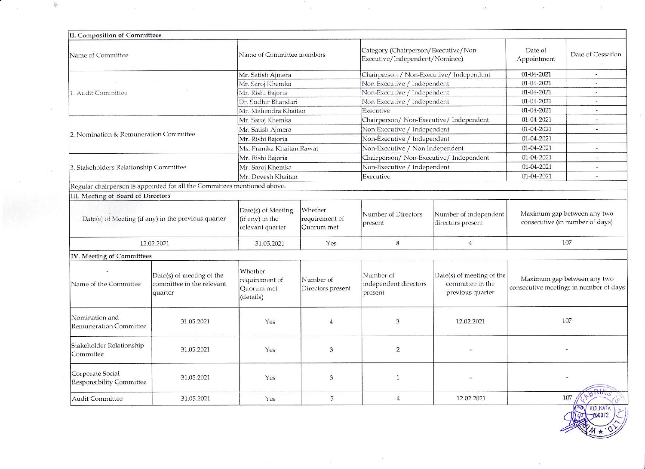| II. Composition of Committees                       |                                                                          |                                                           |                                         |                                                                        |                                                                   |                        |                                                                       |
|-----------------------------------------------------|--------------------------------------------------------------------------|-----------------------------------------------------------|-----------------------------------------|------------------------------------------------------------------------|-------------------------------------------------------------------|------------------------|-----------------------------------------------------------------------|
| Name of Committee                                   |                                                                          | Name of Committee members                                 |                                         | Category (Chairperson/Executive/Non-<br>Executive/Independent/Nominee) |                                                                   | Date of<br>Appointment | Date of Cessation                                                     |
|                                                     |                                                                          | Mr. Satish Ajmera                                         |                                         | Chairperson / Non-Executive/ Independent                               |                                                                   | 01-04-2021             | 로                                                                     |
|                                                     |                                                                          | Mr. Saroj Khemka                                          |                                         | Non-Executive / Independent                                            |                                                                   | 01-04-2021             | ÷                                                                     |
| 1. Audit Committee                                  |                                                                          | Mr. Rishi Bajoria                                         |                                         | Non-Executive / Independent                                            |                                                                   | 01-04-2021             |                                                                       |
|                                                     |                                                                          | Dr. Sudhir Bhandari                                       |                                         | Non-Executive / Independent                                            |                                                                   | 01-04-2021             | $\sim$                                                                |
|                                                     |                                                                          | Mr. Mahendra Khaitan                                      |                                         | Executive                                                              |                                                                   | 01-04-2021             |                                                                       |
|                                                     |                                                                          | Mr. Saroj Khemka                                          |                                         | Chairperson/ Non-Executive/ Independent                                |                                                                   | 01-04-2021             | $\dot{\phantom{1}}$                                                   |
|                                                     |                                                                          | Mr. Satish Ajmera                                         |                                         | Non-Executive / Independent                                            |                                                                   | 01-04-2021             | ÷                                                                     |
| 2. Nomination & Remuneration Committee              |                                                                          | Mr. Rishi Bajoria                                         |                                         | Non-Executive / Independent                                            | 01-04-2021<br>$\sim$                                              |                        |                                                                       |
|                                                     |                                                                          | Ms. Pranika Khaitan Rawat                                 |                                         | Non-Executive / Non Independent                                        |                                                                   | 01-04-2021             |                                                                       |
|                                                     |                                                                          | Mr. Rishi Bajoria                                         |                                         | Chairperson/ Non-Executive/ Independent                                |                                                                   | 01-04-2021             | $\overline{a}$                                                        |
| 3. Stakeholders Relationship Committee              |                                                                          | Mr. Saroj Khemka                                          |                                         | Non-Executive / Independent                                            |                                                                   | 01-04-2021             | $\ddot{}$                                                             |
|                                                     |                                                                          | Mr. Devesh Khaitan                                        |                                         | Executive                                                              |                                                                   | 01-04-2021             | $\sim$                                                                |
|                                                     | Regular chairperson is appointed for all the Committees mentioned above. |                                                           |                                         |                                                                        |                                                                   |                        |                                                                       |
| III. Meeting of Board of Directors                  |                                                                          |                                                           |                                         |                                                                        |                                                                   |                        |                                                                       |
|                                                     | Date(s) of Meeting (if any) in the previous quarter                      | Date(s) of Meeting<br>(if any) in the<br>relevant quarter | Whether<br>requirement of<br>Quorum met | Number of Directors<br>present                                         | Number of independent<br>directors present                        |                        | Maximum gap between any two<br>consecutive (in number of days)        |
|                                                     | 12.02.2021                                                               | 31.05.2021                                                | Yes                                     | 8                                                                      | $\overline{4}$                                                    |                        | 107                                                                   |
| IV. Meeting of Committees                           |                                                                          |                                                           |                                         |                                                                        |                                                                   |                        |                                                                       |
| Name of the Committee                               | Date(s) of meeting of the<br>committee in the relevant<br>quarter        | Whether<br>requirement of<br>Quorum met<br>(details)      | Number of<br>Directors present          | Number of<br>independent directors<br>present                          | Date(s) of meeting of the<br>committee in the<br>previous quarter |                        | Maximum gap between any two<br>consecutive meetings in number of days |
| Nomination and<br><b>Remuneration Committee</b>     | 31.05.2021                                                               | Yes                                                       | $\overline{4}$                          | 3                                                                      | 12.02.2021                                                        |                        | 107                                                                   |
| Stakeholder Relationship<br>Committee               | 31.05.2021                                                               | Yes                                                       | 3                                       | $\overline{2}$                                                         |                                                                   |                        |                                                                       |
| Corporate Social<br><b>Responsibility Committee</b> | 31.05.2021                                                               | Yes                                                       | 3                                       | $\mathbf{1}$                                                           |                                                                   |                        |                                                                       |
| Audit Committee                                     | 31.05.2021                                                               | Yes                                                       | 5                                       | $\overline{4}$                                                         | 12.02.2021                                                        |                        | 107<br><b>OOV KOLKATA</b>                                             |

 $\sim$ 

 $\overline{\phantom{a}}$ 

 $\frac{1}{\sqrt{2}}$ 

.<br>S

.<br>D

 $\frac{1}{2}$ 

 $\overline{\mathfrak{M}}$